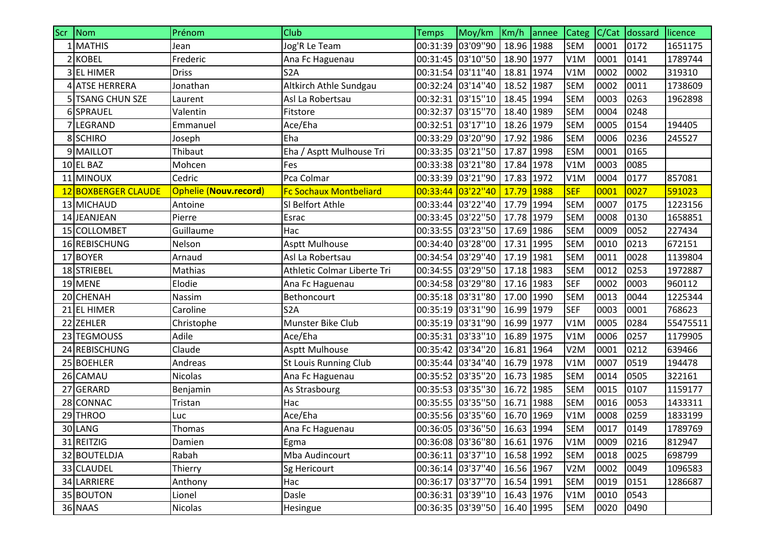| <b>Scr</b> | Nom                 | Prénom                       | Club                          | Temps             | Moy/km                         | Km/h annee | <b>Categ</b>     | C/Cat | dossard | licence  |
|------------|---------------------|------------------------------|-------------------------------|-------------------|--------------------------------|------------|------------------|-------|---------|----------|
|            | 1 MATHIS            | Jean                         | Jog'R Le Team                 | 00:31:39 03'09"90 |                                | 18.96 1988 | <b>SEM</b>       | 0001  | 0172    | 1651175  |
|            | 2 KOBEL             | Frederic                     | Ana Fc Haguenau               |                   | 00:31:45 03'10"50              | 18.90 1977 | V1M              | 0001  | 0141    | 1789744  |
|            | 3 EL HIMER          | <b>Driss</b>                 | S <sub>2</sub> A              | 00:31:54          | 03'11"40                       | 18.81 1974 | V1M              | 0002  | 0002    | 319310   |
|            | 4 ATSE HERRERA      | Jonathan                     | Altkirch Athle Sundgau        |                   | 00:32:24 03'14"40              | 18.52 1987 | <b>SEM</b>       | 0002  | 0011    | 1738609  |
|            | 5 TSANG CHUN SZE    | Laurent                      | Asl La Robertsau              |                   | 00:32:31 03'15"10              | 18.45 1994 | <b>SEM</b>       | 0003  | 0263    | 1962898  |
|            | 6 SPRAUEL           | Valentin                     | Fitstore                      |                   | 00:32:37 03'15"70              | 18.40 1989 | <b>SEM</b>       | 0004  | 0248    |          |
|            | 7LEGRAND            | Emmanuel                     | Ace/Eha                       | 00:32:51          | 03'17"10                       | 18.26 1979 | <b>SEM</b>       | 0005  | 0154    | 194405   |
|            | 8 SCHIRO            | Joseph                       | Eha                           |                   | 00:33:29 03'20"90              | 17.92 1986 | <b>SEM</b>       | 0006  | 0236    | 245527   |
|            | 9 MAILLOT           | Thibaut                      | Eha / Asptt Mulhouse Tri      |                   | 00:33:35 03'21"50              | 17.87 1998 | <b>ESM</b>       | 0001  | 0165    |          |
|            | 10 EL BAZ           | Mohcen                       | Fes                           |                   | 00:33:38 03'21"80              | 17.84 1978 | V1M              | 0003  | 0085    |          |
|            | 11 MINOUX           | Cedric                       | Pca Colmar                    | 00:33:39 03'21"90 |                                | 17.83 1972 | V1M              | 0004  | 0177    | 857081   |
|            | 12 BOXBERGER CLAUDE | <b>Ophelie (Nouv.record)</b> | <b>Fc Sochaux Montbeliard</b> | 00:33:44          | 03'22''40                      | 17.79 1988 | <b>SEF</b>       | 0001  | 0027    | 591023   |
|            | 13 MICHAUD          | Antoine                      | SI Belfort Athle              |                   | 00:33:44 03'22"40              | 17.79 1994 | <b>SEM</b>       | 0007  | 0175    | 1223156  |
|            | 14 JEANJEAN         | Pierre                       | Esrac                         | 00:33:45 03'22"50 |                                | 17.78 1979 | <b>SEM</b>       | 0008  | 0130    | 1658851  |
|            | 15 COLLOMBET        | Guillaume                    | Hac                           | 00:33:55 03'23"50 |                                | 17.69 1986 | <b>SEM</b>       | 0009  | 0052    | 227434   |
|            | 16 REBISCHUNG       | Nelson                       | <b>Asptt Mulhouse</b>         |                   | 00:34:40 03'28"00              | 17.31 1995 | <b>SEM</b>       | 0010  | 0213    | 672151   |
|            | 17 BOYER            | Arnaud                       | Asl La Robertsau              | 00:34:54          | 03'29"40                       | 17.19 1981 | <b>SEM</b>       | 0011  | 0028    | 1139804  |
|            | 18 STRIEBEL         | Mathias                      | Athletic Colmar Liberte Tri   |                   | 00:34:55 03'29"50              | 17.18 1983 | <b>SEM</b>       | 0012  | 0253    | 1972887  |
|            | 19 MENE             | Elodie                       | Ana Fc Haguenau               | 00:34:58 03'29"80 |                                | 17.16 1983 | <b>SEF</b>       | 0002  | 0003    | 960112   |
|            | 20 CHENAH           | Nassim                       | Bethoncourt                   | 00:35:18 03'31"80 |                                | 17.00 1990 | <b>SEM</b>       | 0013  | 0044    | 1225344  |
|            | 21 EL HIMER         | Caroline                     | S <sub>2</sub> A              | 00:35:19 03'31"90 |                                | 16.99 1979 | <b>SEF</b>       | 0003  | 0001    | 768623   |
|            | 22 ZEHLER           | Christophe                   | Munster Bike Club             |                   | 00:35:19 03'31"90              | 16.99 1977 | V1M              | 0005  | 0284    | 55475511 |
|            | 23 TEGMOUSS         | Adile                        | Ace/Eha                       | 00:35:31 03'33"10 |                                | 16.89 1975 | V1M              | 0006  | 0257    | 1179905  |
|            | 24 REBISCHUNG       | Claude                       | <b>Asptt Mulhouse</b>         | 00:35:42 03'34"20 |                                | 16.81 1964 | V2M              | 0001  | 0212    | 639466   |
|            | 25 BOEHLER          | Andreas                      | St Louis Running Club         |                   | 00:35:44 03'34"40              | 16.79 1978 | V1M              | 0007  | 0519    | 194478   |
|            | 26 CAMAU            | <b>Nicolas</b>               | Ana Fc Haguenau               | 00:35:52 03'35"20 |                                | 16.73 1985 | <b>SEM</b>       | 0014  | 0505    | 322161   |
|            | 27 GERARD           | Benjamin                     | As Strasbourg                 |                   | 00:35:53 03'35"30              | 16.72 1985 | <b>SEM</b>       | 0015  | 0107    | 1159177  |
|            | 28 CONNAC           | Tristan                      | Hac                           |                   | 00:35:55 03'35"50              | 16.71 1988 | <b>SEM</b>       | 0016  | 0053    | 1433311  |
|            | 29 THROO            | Luc                          | Ace/Eha                       |                   | 00:35:56 03'35"60              | 16.70 1969 | V1M              | 0008  | 0259    | 1833199  |
|            | 30 LANG             | Thomas                       | Ana Fc Haguenau               |                   | 00:36:05 03'36''50 16.63 1994  |            | <b>SEM</b>       | 0017  | 0149    | 1789769  |
|            | 31 REITZIG          | Damien                       | Egma                          |                   | 00:36:08 03'36"80   16.61 1976 |            | V1M              | 0009  | 0216    | 812947   |
|            | 32 BOUTELDJA        | Rabah                        | Mba Audincourt                |                   | 00:36:11 03'37"10 16.58 1992   |            | <b>SEM</b>       | 0018  | 0025    | 698799   |
|            | 33 CLAUDEL          | Thierry                      | Sg Hericourt                  |                   | 00:36:14 03'37"40              | 16.56 1967 | V <sub>2</sub> M | 0002  | 0049    | 1096583  |
|            | 34 LARRIERE         | Anthony                      | Hac                           |                   | 00:36:17 03'37"70              | 16.54 1991 | <b>SEM</b>       | 0019  | 0151    | 1286687  |
|            | 35 BOUTON           | Lionel                       | Dasle                         |                   | 00:36:31 03'39"10              | 16.43 1976 | V1M              | 0010  | 0543    |          |
|            | 36 NAAS             | Nicolas                      | Hesingue                      |                   | 00:36:35 03'39"50              | 16.40 1995 | <b>SEM</b>       | 0020  | 0490    |          |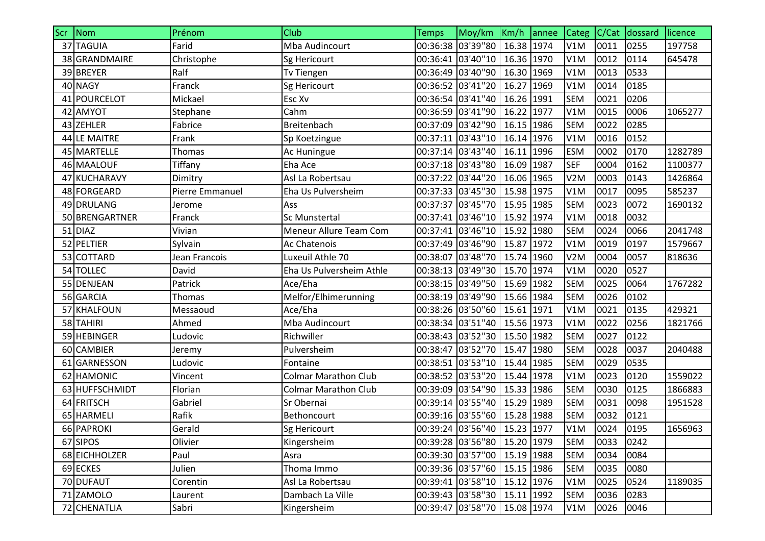| Scr Nom          | Prénom          | Club                          | <b>Temps</b>      | Moy/km                       | $Km/h$ annee | <b>Categ</b>     | C/Cat | dossard | licence |
|------------------|-----------------|-------------------------------|-------------------|------------------------------|--------------|------------------|-------|---------|---------|
| 37 TAGUIA        | Farid           | Mba Audincourt                |                   | 00:36:38 03'39"80            | 16.38 1974   | V1M              | 0011  | 0255    | 197758  |
| 38 GRANDMAIRE    | Christophe      | Sg Hericourt                  |                   | 00:36:41 03'40"10            | 16.36 1970   | V1M              | 0012  | 0114    | 645478  |
| 39 BREYER        | Ralf            | Tv Tiengen                    |                   | 00:36:49 03'40"90            | 16.30 1969   | V1M              | 0013  | 0533    |         |
| 40 NAGY          | Franck          | Sg Hericourt                  |                   | 00:36:52 03'41"20            | 16.27 1969   | V1M              | 0014  | 0185    |         |
| 41 POURCELOT     | Mickael         | Esc Xv                        |                   | 00:36:54 03'41"40            | 16.26 1991   | <b>SEM</b>       | 0021  | 0206    |         |
| 42 AMYOT         | Stephane        | Cahm                          |                   | 00:36:59 03'41"90            | 16.22 1977   | V1M              | 0015  | 0006    | 1065277 |
| 43 ZEHLER        | Fabrice         | Breitenbach                   |                   | 00:37:09 03'42"90            | 16.15 1986   | <b>SEM</b>       | 0022  | 0285    |         |
| 44 LE MAITRE     | Frank           | Sp Koetzingue                 |                   | 00:37:11 03'43"10            | 16.14 1976   | V1M              | 0016  | 0152    |         |
| 45 MARTELLE      | Thomas          | Ac Huningue                   |                   | 00:37:14 03'43"40            | 16.11 1996   | <b>ESM</b>       | 0002  | 0170    | 1282789 |
| 46 MAALOUF       | Tiffany         | Eha Ace                       |                   | 00:37:18 03'43"80            | 16.09 1987   | <b>SEF</b>       | 0004  | 0162    | 1100377 |
| 47 KUCHARAVY     | Dimitry         | Asl La Robertsau              |                   | 00:37:22 03'44"20            | 16.06 1965   | V <sub>2</sub> M | 0003  | 0143    | 1426864 |
| 48 FORGEARD      | Pierre Emmanuel | Eha Us Pulversheim            |                   | 00:37:33 03'45"30            | 15.98 1975   | V1M              | 0017  | 0095    | 585237  |
| 49 DRULANG       | Jerome          | Ass                           |                   | 00:37:37 03'45"70            | 15.95 1985   | <b>SEM</b>       | 0023  | 0072    | 1690132 |
| 50 BRENGARTNER   | Franck          | Sc Munstertal                 |                   | 00:37:41 03'46"10            | 15.92 1974   | V1M              | 0018  | 0032    |         |
| 51 DIAZ          | Vivian          | <b>Meneur Allure Team Com</b> |                   | 00:37:41 03'46"10            | 15.92 1980   | <b>SEM</b>       | 0024  | 0066    | 2041748 |
| 52 PELTIER       | Sylvain         | Ac Chatenois                  |                   | 00:37:49 03'46"90            | 15.87 1972   | V1M              | 0019  | 0197    | 1579667 |
| 53 COTTARD       | Jean Francois   | Luxeuil Athle 70              |                   | 00:38:07 03'48"70            | 15.74 1960   | V <sub>2</sub> M | 0004  | 0057    | 818636  |
| 54 TOLLEC        | David           | Eha Us Pulversheim Athle      |                   | 00:38:13 03'49"30            | 15.70 1974   | V1M              | 0020  | 0527    |         |
| 55 DENJEAN       | Patrick         | Ace/Eha                       |                   | 00:38:15 03'49"50            | 15.69 1982   | <b>SEM</b>       | 0025  | 0064    | 1767282 |
| 56 GARCIA        | Thomas          | Melfor/Elhimerunning          |                   | 00:38:19 03'49"90            | 15.66 1984   | <b>SEM</b>       | 0026  | 0102    |         |
| 57 KHALFOUN      | Messaoud        | Ace/Eha                       |                   | 00:38:26 03'50"60            | 15.61 1971   | V1M              | 0021  | 0135    | 429321  |
| 58 TAHIRI        | Ahmed           | Mba Audincourt                |                   | 00:38:34 03'51"40            | 15.56 1973   | V1M              | 0022  | 0256    | 1821766 |
| 59 HEBINGER      | Ludovic         | Richwiller                    |                   | 00:38:43 03'52"30            | 15.50 1982   | <b>SEM</b>       | 0027  | 0122    |         |
| 60 CAMBIER       | Jeremy          | Pulversheim                   | 00:38:47          | 03'52"70                     | 15.47 1980   | <b>SEM</b>       | 0028  | 0037    | 2040488 |
| <b>GARNESSON</b> | Ludovic         | Fontaine                      |                   | 00:38:51 03'53"10            | 15.44 1985   | <b>SEM</b>       | 0029  | 0535    |         |
| 62 HAMONIC       | Vincent         | <b>Colmar Marathon Club</b>   |                   | 00:38:52 03'53"20            | 15.44 1978   | V1M              | 0023  | 0120    | 1559022 |
| 63 HUFFSCHMIDT   | Florian         | <b>Colmar Marathon Club</b>   |                   | 00:39:09 03'54"90            | 15.33 1986   | <b>SEM</b>       | 0030  | 0125    | 1866883 |
| 64 FRITSCH       | Gabriel         | Sr Obernai                    |                   | 00:39:14 03'55"40            | 15.29 1989   | <b>SEM</b>       | 0031  | 0098    | 1951528 |
| 65 HARMELI       | Rafik           | Bethoncourt                   |                   | 00:39:16 03'55"60            | 15.28 1988   | <b>SEM</b>       | 0032  | 0121    |         |
| 66 PAPROKI       | Gerald          | Sg Hericourt                  |                   | 00:39:24 03'56"40 15.23 1977 |              | V1M              | 0024  | 0195    | 1656963 |
| 67 SIPOS         | Olivier         | Kingersheim                   |                   | 00:39:28 03'56"80 15.20 1979 |              | <b>SEM</b>       | 0033  | 0242    |         |
| 68 EICHHOLZER    | Paul            | Asra                          |                   | 00:39:30 03'57"00 15.19 1988 |              | <b>SEM</b>       | 0034  | 0084    |         |
| 69 ECKES         | Julien          | Thoma Immo                    |                   | 00:39:36 03'57"60            | 15.15 1986   | <b>SEM</b>       | 0035  | 0080    |         |
| 70 DUFAUT        | Corentin        | Asl La Robertsau              |                   | 00:39:41 03'58"10            | 15.12 1976   | V1M              | 0025  | 0524    | 1189035 |
| 71 ZAMOLO        | Laurent         | Dambach La Ville              |                   | 00:39:43 03'58"30            | 15.11 1992   | <b>SEM</b>       | 0036  | 0283    |         |
| 72 CHENATLIA     | Sabri           | Kingersheim                   | 00:39:47 03'58"70 |                              | 15.08 1974   | V1M              | 0026  | 0046    |         |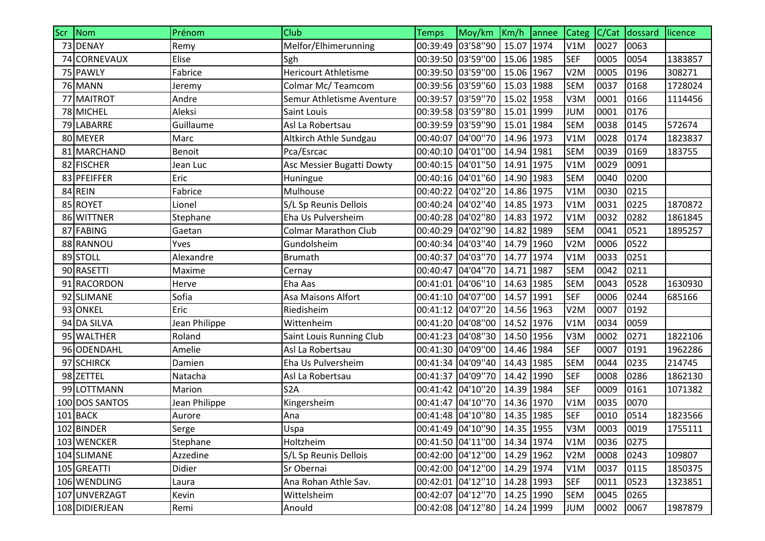| Scr Nom        | Prénom        | Club                        | <b>Temps</b> | Moy/km Km/h annee            |            |      | <b>Categ</b>     | C/Cat | dossard | licence |
|----------------|---------------|-----------------------------|--------------|------------------------------|------------|------|------------------|-------|---------|---------|
| 73 DENAY       | Remy          | Melfor/Elhimerunning        |              | 00:39:49 03'58"90            | 15.07 1974 |      | V1M              | 0027  | 0063    |         |
| 74 CORNEVAUX   | Elise         | Sgh                         |              | 00:39:50 03'59"00            | 15.06 1985 |      | <b>SEF</b>       | 0005  | 0054    | 1383857 |
| 75 PAWLY       | Fabrice       | <b>Hericourt Athletisme</b> |              | 00:39:50 03'59"00            | 15.06 1967 |      | V <sub>2</sub> M | 0005  | 0196    | 308271  |
| <b>76 MANN</b> | Jeremy        | Colmar Mc/Teamcom           |              | 00:39:56 03'59"60 15.03 1988 |            |      | <b>SEM</b>       | 0037  | 0168    | 1728024 |
| 77 MAITROT     | Andre         | Semur Athletisme Aventure   |              | 00:39:57 03'59"70            | 15.02 1958 |      | V3M              | 0001  | 0166    | 1114456 |
| 78 MICHEL      | Aleksi        | Saint Louis                 |              | 00:39:58 03'59"80            | 15.01 1999 |      | <b>JUM</b>       | 0001  | 0176    |         |
| 79 LABARRE     | Guillaume     | Asl La Robertsau            |              | 00:39:59 03'59"90            | 15.01      | 1984 | <b>SEM</b>       | 0038  | 0145    | 572674  |
| 80 MEYER       | Marc          | Altkirch Athle Sundgau      |              | 00:40:07 04'00''70           | 14.96 1973 |      | V1M              | 0028  | 0174    | 1823837 |
| 81 MARCHAND    | Benoit        | Pca/Esrcac                  |              | 00:40:10 04'01"00            | 14.94 1981 |      | <b>SEM</b>       | 0039  | 0169    | 183755  |
| 82 FISCHER     | Jean Luc      | Asc Messier Bugatti Dowty   |              | 00:40:15 04'01"50            | 14.91 1975 |      | V1M              | 0029  | 0091    |         |
| 83 PFEIFFER    | Eric          | Huningue                    |              | 00:40:16 04'01"60            | 14.90 1983 |      | <b>SEM</b>       | 0040  | 0200    |         |
| 84 REIN        | Fabrice       | Mulhouse                    |              | 00:40:22 04'02"20            | 14.86 1975 |      | V1M              | 0030  | 0215    |         |
| 85 ROYET       | Lionel        | S/L Sp Reunis Dellois       |              | 00:40:24 04'02''40           | 14.85 1973 |      | V1M              | 0031  | 0225    | 1870872 |
| 86 WITTNER     | Stephane      | Eha Us Pulversheim          |              | 00:40:28 04'02''80           | 14.83 1972 |      | V1M              | 0032  | 0282    | 1861845 |
| 87 FABING      | Gaetan        | <b>Colmar Marathon Club</b> |              | 00:40:29 04'02"90            | 14.82 1989 |      | <b>SEM</b>       | 0041  | 0521    | 1895257 |
| 88 RANNOU      | Yves          | Gundolsheim                 |              | 00:40:34 04'03''40           | 14.79 1960 |      | V <sub>2</sub> M | 0006  | 0522    |         |
| 89 STOLL       | Alexandre     | <b>Brumath</b>              |              | 00:40:37 04'03"70            | 14.77 1974 |      | V1M              | 0033  | 0251    |         |
| 90 RASETTI     | Maxime        | Cernay                      |              | 00:40:47 04'04"70            | 14.71 1987 |      | <b>SEM</b>       | 0042  | 0211    |         |
| 91 RACORDON    | Herve         | Eha Aas                     |              | 00:41:01 04'06"10            | 14.63 1985 |      | <b>SEM</b>       | 0043  | 0528    | 1630930 |
| 92 SLIMANE     | Sofia         | Asa Maisons Alfort          |              | 00:41:10 04'07"00            | 14.57 1991 |      | <b>SEF</b>       | 0006  | 0244    | 685166  |
| 93 ONKEL       | Eric          | Riedisheim                  |              | 00:41:12 04'07"20            | 14.56 1963 |      | V <sub>2</sub> M | 0007  | 0192    |         |
| 94 DA SILVA    | Jean Philippe | Wittenheim                  |              | 00:41:20 04'08"00            | 14.52 1976 |      | V1M              | 0034  | 0059    |         |
| 95 WALTHER     | Roland        | Saint Louis Running Club    |              | 00:41:23 04'08"30            | 14.50 1956 |      | V3M              | 0002  | 0271    | 1822106 |
| 96 ODENDAHL    | Amelie        | Asl La Robertsau            |              | 00:41:30 04'09"00            | 14.46 1984 |      | <b>SEF</b>       | 0007  | 0191    | 1962286 |
| 97 SCHIRCK     | Damien        | Eha Us Pulversheim          |              | 00:41:34 04'09"40            | 14.43 1985 |      | <b>SEM</b>       | 0044  | 0235    | 214745  |
| 98 ZETTEL      | Natacha       | Asl La Robertsau            |              | 00:41:37 04'09"70            | 14.42 1990 |      | <b>SEF</b>       | 0008  | 0286    | 1862130 |
| 99 LOTTMANN    | Marion        | S <sub>2</sub> A            |              | 00:41:42 04'10"20            | 14.39 1984 |      | <b>SEF</b>       | 0009  | 0161    | 1071382 |
| 100 DOS SANTOS | Jean Philippe | Kingersheim                 |              | 00:41:47 04'10''70           | 14.36 1970 |      | V1M              | 0035  | 0070    |         |
| 101 BACK       | Aurore        | Ana                         |              | 00:41:48 04'10"80 14.35 1985 |            |      | <b>SEF</b>       | 0010  | 0514    | 1823566 |
| 102 BINDER     | Serge         | Uspa                        |              | 00:41:49 04'10"90 14.35 1955 |            |      | V3M              | 0003  | 0019    | 1755111 |
| 103 WENCKER    | Stephane      | Holtzheim                   |              | 00:41:50 04'11"00 14.34 1974 |            |      | V1M              | 0036  | 0275    |         |
| 104 SLIMANE    | Azzedine      | S/L Sp Reunis Dellois       |              | 00:42:00 04'12"00 14.29 1962 |            |      | V <sub>2</sub> M | 0008  | 0243    | 109807  |
| 105 GREATTI    | Didier        | Sr Obernai                  |              | 00:42:00 04'12"00 14.29 1974 |            |      | V1M              | 0037  | 0115    | 1850375 |
| 106 WENDLING   | Laura         | Ana Rohan Athle Sav.        |              | 00:42:01 04'12"10 14.28 1993 |            |      | <b>SEF</b>       | 0011  | 0523    | 1323851 |
| 107 UNVERZAGT  | Kevin         | Wittelsheim                 |              | 00:42:07 04'12"70            | 14.25 1990 |      | <b>SEM</b>       | 0045  | 0265    |         |
| 108 DIDIERJEAN | Remi          | Anould                      |              | 00:42:08 04'12"80            | 14.24 1999 |      | <b>JUM</b>       | 0002  | 0067    | 1987879 |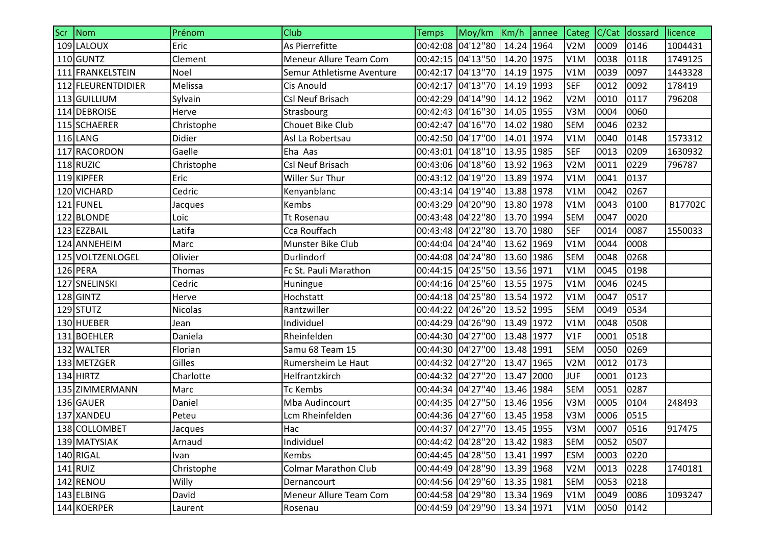| Scr Nom            | Prénom         | Club                        | <b>Temps</b> | Moy/km   Km/h   annee             |            | <b>Categ</b>     | C/Cat | dossard | licence |
|--------------------|----------------|-----------------------------|--------------|-----------------------------------|------------|------------------|-------|---------|---------|
| 109 LALOUX         | Eric           | As Pierrefitte              |              | 00:42:08 04'12"80                 | 14.24 1964 | V <sub>2</sub> M | 0009  | 0146    | 1004431 |
| 110 GUNTZ          | Clement        | Meneur Allure Team Com      |              | 00:42:15 04'13"50                 | 14.20 1975 | V1M              | 0038  | 0118    | 1749125 |
| 111 FRANKELSTEIN   | Noel           | Semur Athletisme Aventure   |              | 00:42:17 04'13"70                 | 14.19 1975 | V1M              | 0039  | 0097    | 1443328 |
| 112 FLEURENTDIDIER | Melissa        | <b>Cis Anould</b>           |              | 00:42:17 04'13"70                 | 14.19 1993 | <b>SEF</b>       | 0012  | 0092    | 178419  |
| 113 GUILLIUM       | Sylvain        | Csl Neuf Brisach            |              | 00:42:29 04'14"90                 | 14.12 1962 | V <sub>2</sub> M | 0010  | 0117    | 796208  |
| 114 DEBROISE       | Herve          | Strasbourg                  |              | 00:42:43 04'16"30                 | 14.05 1955 | V3M              | 0004  | 0060    |         |
| 115 SCHAERER       | Christophe     | Chouet Bike Club            |              | 00:42:47 04'16"70                 | 14.02 1980 | <b>SEM</b>       | 0046  | 0232    |         |
| $116$ LANG         | Didier         | Asl La Robertsau            |              | 00:42:50 04'17"00                 | 14.01 1974 | V1M              | 0040  | 0148    | 1573312 |
| 117 RACORDON       | Gaelle         | Eha Aas                     |              | 00:43:01 04'18"10                 | 13.95 1985 | <b>SEF</b>       | 0013  | 0209    | 1630932 |
| $118$ RUZIC        | Christophe     | <b>Csl Neuf Brisach</b>     |              | 00:43:06 04'18"60                 | 13.92 1963 | V2M              | 0011  | 0229    | 796787  |
| 119 KIPFER         | Eric           | Willer Sur Thur             |              | 00:43:12 04'19"20                 | 13.89 1974 | V1M              | 0041  | 0137    |         |
| 120 VICHARD        | Cedric         | Kenyanblanc                 |              | 00:43:14 04'19"40                 | 13.88 1978 | V1M              | 0042  | 0267    |         |
| 121 FUNEL          | Jacques        | Kembs                       |              | 00:43:29 04'20"90                 | 13.80 1978 | V1M              | 0043  | 0100    | B17702C |
| 122 BLONDE         | Loic           | <b>Tt Rosenau</b>           |              | 00:43:48 04'22"80                 | 13.70 1994 | <b>SEM</b>       | 0047  | 0020    |         |
| 123 EZZBAIL        | Latifa         | Cca Rouffach                |              | 00:43:48 04'22"80                 | 13.70 1980 | <b>SEF</b>       | 0014  | 0087    | 1550033 |
| 124 ANNEHEIM       | Marc           | Munster Bike Club           |              | 00:44:04 04'24"40                 | 13.62 1969 | V1M              | 0044  | 0008    |         |
| 125 VOLTZENLOGEL   | Olivier        | Durlindorf                  |              | 00:44:08 04'24"80                 | 13.60 1986 | <b>SEM</b>       | 0048  | 0268    |         |
| 126 PERA           | Thomas         | Fc St. Pauli Marathon       |              | 00:44:15 04'25"50                 | 13.56 1971 | V1M              | 0045  | 0198    |         |
| 127 SNELINSKI      | Cedric         | Huningue                    |              | 00:44:16 04'25"60                 | 13.55 1975 | V1M              | 0046  | 0245    |         |
| 128 GINTZ          | Herve          | Hochstatt                   |              | 00:44:18 04'25"80                 | 13.54 1972 | V1M              | 0047  | 0517    |         |
| $129$ STUTZ        | <b>Nicolas</b> | Rantzwiller                 |              | 00:44:22 04'26"20                 | 13.52 1995 | <b>SEM</b>       | 0049  | 0534    |         |
| 130 HUEBER         | Jean           | Individuel                  |              | 00:44:29 04'26"90                 | 13.49 1972 | V1M              | 0048  | 0508    |         |
| 131 BOEHLER        | Daniela        | Rheinfelden                 |              | 00:44:30 04'27"00                 | 13.48 1977 | V1F              | 0001  | 0518    |         |
| 132 WALTER         | Florian        | Samu 68 Team 15             |              | 00:44:30 04'27"00                 | 13.48 1991 | <b>SEM</b>       | 0050  | 0269    |         |
| 133 METZGER        | Gilles         | Rumersheim Le Haut          |              | 00:44:32 04'27"20                 | 13.47 1965 | V2M              | 0012  | 0173    |         |
| 134 HIRTZ          | Charlotte      | Helfrantzkirch              |              | 00:44:32 04'27"20                 | 13.47 2000 | <b>JUF</b>       | 0001  | 0123    |         |
| 135 ZIMMERMANN     | Marc           | <b>Tc Kembs</b>             |              | 00:44:34 04'27"40                 | 13.46 1984 | <b>SEM</b>       | 0051  | 0287    |         |
| 136 GAUER          | Daniel         | Mba Audincourt              |              | 00:44:35 04'27"50   13.46   1956  |            | V3M              | 0005  | 0104    | 248493  |
| 137 XANDEU         | Peteu          | Lcm Rheinfelden             |              | 00:44:36 04'27"60   13.45   1958  |            | V3M              | 0006  | 0515    |         |
| 138 COLLOMBET      | Jacques        | Hac                         |              | 00:44:37 04'27"70 13.45 1955      |            | V3M              | 0007  | 0516    | 917475  |
| 139 MATYSIAK       | Arnaud         | Individuel                  |              | 00:44:42 04'28"20 13.42 1983      |            | <b>SEM</b>       | 0052  | 0507    |         |
| 140 RIGAL          | Ivan           | Kembs                       |              | 00:44:45 04'28"50 13.41 1997      |            | <b>ESM</b>       | 0003  | 0220    |         |
| $141$ RUIZ         | Christophe     | <b>Colmar Marathon Club</b> |              | 00:44:49 04'28"90                 | 13.39 1968 | V <sub>2</sub> M | 0013  | 0228    | 1740181 |
| 142 RENOU          | Willy          | Dernancourt                 |              | 00:44:56 04'29"60                 | 13.35 1981 | <b>SEM</b>       | 0053  | 0218    |         |
| 143 ELBING         | David          | Meneur Allure Team Com      |              | 00:44:58 04'29"80                 | 13.34 1969 | V1M              | 0049  | 0086    | 1093247 |
| 144 KOERPER        | Laurent        | Rosenau                     |              | 00:44:59 04'29''90   13.34   1971 |            | V1M              | 0050  | 0142    |         |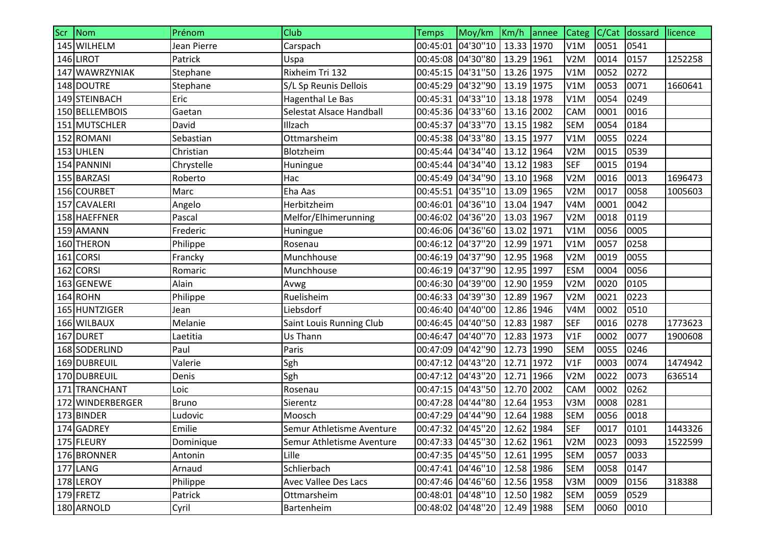| Scr Nom          | Prénom       | Club                        | <b>Temps</b>      | Moy/km Km/h annee             |            | Categ            | C/Cat | dossard | licence |
|------------------|--------------|-----------------------------|-------------------|-------------------------------|------------|------------------|-------|---------|---------|
| 145 WILHELM      | Jean Pierre  | Carspach                    | 00:45:01          | 04'30"10                      | 13.33 1970 | V1M              | 0051  | 0541    |         |
| 146 LIROT        | Patrick      | Uspa                        |                   | 00:45:08 04'30"80             | 13.29 1961 | V <sub>2</sub> M | 0014  | 0157    | 1252258 |
| 147 WAWRZYNIAK   | Stephane     | Rixheim Tri 132             |                   | 00:45:15 04'31"50             | 13.26 1975 | V1M              | 0052  | 0272    |         |
| 148 DOUTRE       | Stephane     | S/L Sp Reunis Dellois       |                   | 00:45:29 04'32"90             | 13.19 1975 | V1M              | 0053  | 0071    | 1660641 |
| 149 STEINBACH    | Eric         | <b>Hagenthal Le Bas</b>     |                   | 00:45:31 04'33"10             | 13.18 1978 | V1M              | 0054  | 0249    |         |
| 150 BELLEMBOIS   | Gaetan       | Selestat Alsace Handball    |                   | 00:45:36 04'33''60            | 13.16 2002 | <b>CAM</b>       | 0001  | 0016    |         |
| 151 MUTSCHLER    | David        | Illzach                     |                   | 00:45:37 04'33"70             | 13.15 1982 | <b>SEM</b>       | 0054  | 0184    |         |
| 152 ROMANI       | Sebastian    | Ottmarsheim                 |                   | 00:45:38 04'33"80             | 13.15 1977 | V1M              | 0055  | 0224    |         |
| 153 UHLEN        | Christian    | Blotzheim                   |                   | 00:45:44 04'34"40             | 13.12 1964 | V <sub>2</sub> M | 0015  | 0539    |         |
| 154 PANNINI      | Chrystelle   | Huningue                    |                   | 00:45:44 04'34"40             | 13.12 1983 | <b>SEF</b>       | 0015  | 0194    |         |
| 155 BARZASI      | Roberto      | Hac                         |                   | 00:45:49 04'34"90             | 13.10 1968 | V <sub>2</sub> M | 0016  | 0013    | 1696473 |
| 156 COURBET      | Marc         | Eha Aas                     |                   | 00:45:51 04'35"10             | 13.09 1965 | V2M              | 0017  | 0058    | 1005603 |
| 157 CAVALERI     | Angelo       | Herbitzheim                 |                   | 00:46:01 04'36"10             | 13.04 1947 | V <sub>4</sub> M | 0001  | 0042    |         |
| 158 HAEFFNER     | Pascal       | Melfor/Elhimerunning        |                   | 00:46:02 04'36"20             | 13.03 1967 | V <sub>2</sub> M | 0018  | 0119    |         |
| 159 AMANN        | Frederic     | Huningue                    |                   | 00:46:06 04'36"60             | 13.02 1971 | V1M              | 0056  | 0005    |         |
| 160 THERON       | Philippe     | Rosenau                     |                   | 00:46:12 04'37"20             | 12.99 1971 | V1M              | 0057  | 0258    |         |
| 161 CORSI        | Francky      | Munchhouse                  |                   | 00:46:19 04'37"90             | 12.95 1968 | V2M              | 0019  | 0055    |         |
| 162 CORSI        | Romaric      | Munchhouse                  |                   | 00:46:19 04'37"90             | 12.95 1997 | <b>ESM</b>       | 0004  | 0056    |         |
| 163 GENEWE       | Alain        | Avwg                        |                   | 00:46:30 04'39"00             | 12.90 1959 | V2M              | 0020  | 0105    |         |
| 164 ROHN         | Philippe     | Ruelisheim                  |                   | 00:46:33 04'39"30             | 12.89 1967 | V <sub>2</sub> M | 0021  | 0223    |         |
| 165 HUNTZIGER    | Jean         | Liebsdorf                   |                   | 00:46:40 04'40"00             | 12.86 1946 | V <sub>4</sub> M | 0002  | 0510    |         |
| 166 WILBAUX      | Melanie      | Saint Louis Running Club    |                   | 00:46:45 04'40"50             | 12.83 1987 | <b>SEF</b>       | 0016  | 0278    | 1773623 |
| 167 DURET        | Laetitia     | Us Thann                    |                   | 00:46:47 04'40"70             | 12.83 1973 | V1F              | 0002  | 0077    | 1900608 |
| 168 SODERLIND    | Paul         | Paris                       |                   | 00:47:09 04'42"90             | 12.73 1990 | <b>SEM</b>       | 0055  | 0246    |         |
| 169 DUBREUIL     | Valerie      | Sgh                         |                   | 00:47:12 04'43"20             | 12.71 1972 | V1F              | 0003  | 0074    | 1474942 |
| 170 DUBREUIL     | Denis        | Sgh                         |                   | 00:47:12 04'43"20             | 12.71 1966 | V <sub>2</sub> M | 0022  | 0073    | 636514  |
| 171 TRANCHANT    | Loic         | Rosenau                     |                   | 00:47:15 04'43"50             | 12.70 2002 | <b>CAM</b>       | 0002  | 0262    |         |
| 172 WINDERBERGER | <b>Bruno</b> | Sierentz                    |                   | 00:47:28 04'44"80             | 12.64 1953 | V3M              | 0008  | 0281    |         |
| 173 BINDER       | Ludovic      | Moosch                      |                   | 00:47:29 04'44''90            | 12.64 1988 | <b>SEM</b>       | 0056  | 0018    |         |
| 174 GADREY       | Emilie       | Semur Athletisme Aventure   |                   | 00:47:32 04'45"20 12.62 1984  |            | <b>SEF</b>       | 0017  | 0101    | 1443326 |
| 175 FLEURY       | Dominique    | Semur Athletisme Aventure   |                   | 00:47:33 04'45''30 12.62 1961 |            | V <sub>2</sub> M | 0023  | 0093    | 1522599 |
| 176 BRONNER      | Antonin      | Lille                       |                   | 00:47:35 04'45"50 12.61 1995  |            | <b>SEM</b>       | 0057  | 0033    |         |
| 177 LANG         | Arnaud       | Schlierbach                 |                   | 00:47:41 04'46"10             | 12.58 1986 | <b>SEM</b>       | 0058  | 0147    |         |
| 178 LEROY        | Philippe     | <b>Avec Vallee Des Lacs</b> |                   | 00:47:46 04'46"60             | 12.56 1958 | V3M              | 0009  | 0156    | 318388  |
| 179 FRETZ        | Patrick      | Ottmarsheim                 |                   | 00:48:01 04'48"10             | 12.50 1982 | <b>SEM</b>       | 0059  | 0529    |         |
| 180 ARNOLD       | Cyril        | Bartenheim                  | 00:48:02 04'48"20 |                               | 12.49 1988 | <b>SEM</b>       | 0060  | 0010    |         |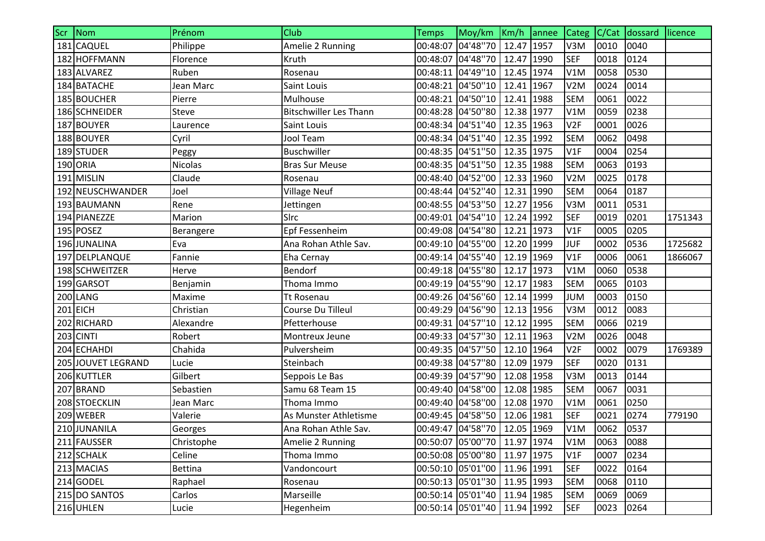| Scr Nom            | Prénom         | Club                          | <b>Temps</b>      | Moy/km Km/h annee             |            | $\vert$ Categ $\vert$ C/Cat |      | dossard licence |         |
|--------------------|----------------|-------------------------------|-------------------|-------------------------------|------------|-----------------------------|------|-----------------|---------|
| 181 CAQUEL         | Philippe       | Amelie 2 Running              |                   | 00:48:07 04'48"70             | 12.47 1957 | V3M                         | 0010 | 0040            |         |
| 182 HOFFMANN       | Florence       | Kruth                         | 00:48:07          | 04'48"70                      | 12.47 1990 | <b>SEF</b>                  | 0018 | 0124            |         |
| 183 ALVAREZ        | Ruben          | Rosenau                       |                   | 00:48:11 04'49"10             | 12.45 1974 | V1M                         | 0058 | 0530            |         |
| 184 BATACHE        | Jean Marc      | Saint Louis                   |                   | 00:48:21 04'50"10             | 12.41 1967 | V2M                         | 0024 | 0014            |         |
| 185 BOUCHER        | Pierre         | Mulhouse                      |                   | 00:48:21 04'50"10             | 12.41 1988 | <b>SEM</b>                  | 0061 | 0022            |         |
| 186 SCHNEIDER      | <b>Steve</b>   | <b>Bitschwiller Les Thann</b> |                   | 00:48:28 04'50"80             | 12.38 1977 | V1M                         | 0059 | 0238            |         |
| 187 BOUYER         | Laurence       | Saint Louis                   |                   | 00:48:34 04'51"40             | 12.35 1963 | V <sub>2F</sub>             | 0001 | 0026            |         |
| 188 BOUYER         | Cyril          | <b>Jool Team</b>              |                   | 00:48:34 04'51"40             | 12.35 1992 | <b>SEM</b>                  | 0062 | 0498            |         |
| 189 STUDER         | Peggy          | <b>Buschwiller</b>            |                   | 00:48:35 04'51"50             | 12.35 1975 | V1F                         | 0004 | 0254            |         |
| 190 ORIA           | Nicolas        | <b>Bras Sur Meuse</b>         |                   | 00:48:35 04'51"50             | 12.35 1988 | <b>SEM</b>                  | 0063 | 0193            |         |
| 191 MISLIN         | Claude         | Rosenau                       |                   | 00:48:40 04'52"00             | 12.33 1960 | V <sub>2</sub> M            | 0025 | 0178            |         |
| 192 NEUSCHWANDER   | Joel           | <b>Village Neuf</b>           |                   | 00:48:44 04'52"40             | 12.31 1990 | <b>SEM</b>                  | 0064 | 0187            |         |
| 193 BAUMANN        | Rene           | Jettingen                     |                   | 00:48:55 04'53"50             | 12.27 1956 | V3M                         | 0011 | 0531            |         |
| 194 PIANEZZE       | Marion         | SIrc                          | 00:49:01 04'54"10 |                               | 12.24 1992 | <b>SEF</b>                  | 0019 | 0201            | 1751343 |
| 195 POSEZ          | Berangere      | Epf Fessenheim                |                   | 00:49:08 04'54"80             | 12.21 1973 | V1F                         | 0005 | 0205            |         |
| 196 JUNALINA       | Eva            | Ana Rohan Athle Sav.          |                   | 00:49:10 04'55''00            | 12.20 1999 | <b>JUF</b>                  | 0002 | 0536            | 1725682 |
| 197 DELPLANQUE     | Fannie         | Eha Cernay                    |                   | 00:49:14 04'55"40             | 12.19 1969 | V1F                         | 0006 | 0061            | 1866067 |
| 198 SCHWEITZER     | Herve          | Bendorf                       |                   | 00:49:18 04'55"80             | 12.17 1973 | V1M                         | 0060 | 0538            |         |
| 199 GARSOT         | Benjamin       | Thoma Immo                    |                   | 00:49:19 04'55"90             | 12.17 1983 | <b>SEM</b>                  | 0065 | 0103            |         |
| 200 LANG           | Maxime         | <b>Tt Rosenau</b>             |                   | 00:49:26 04'56"60             | 12.14 1999 | <b>JUM</b>                  | 0003 | 0150            |         |
| $201$ EICH         | Christian      | Course Du Tilleul             |                   | 00:49:29 04'56"90             | 12.13 1956 | V3M                         | 0012 | 0083            |         |
| 202 RICHARD        | Alexandre      | Pfetterhouse                  |                   | 00:49:31 04'57"10             | 12.12 1995 | <b>SEM</b>                  | 0066 | 0219            |         |
| 203 CINTI          | Robert         | Montreux Jeune                |                   | 00:49:33 04'57''30            | 12.11 1963 | V2M                         | 0026 | 0048            |         |
| 204 ECHAHDI        | Chahida        | Pulversheim                   |                   | 00:49:35 04'57"50             | 12.10 1964 | V <sub>2F</sub>             | 0002 | 0079            | 1769389 |
| 205 JOUVET LEGRAND | Lucie          | Steinbach                     | 00:49:38 04'57"80 |                               | 12.09 1979 | <b>SEF</b>                  | 0020 | 0131            |         |
| 206 KUTTLER        | Gilbert        | Seppois Le Bas                |                   | 00:49:39 04'57"90             | 12.08 1958 | V3M                         | 0013 | 0144            |         |
| 207 BRAND          | Sebastien      | Samu 68 Team 15               |                   | 00:49:40 04'58"00             | 12.08 1985 | <b>SEM</b>                  | 0067 | 0031            |         |
| 208 STOECKLIN      | Jean Marc      | Thoma Immo                    |                   | 00:49:40 04'58"00             | 12.08 1970 | V1M                         | 0061 | 0250            |         |
| 209 WEBER          | Valerie        | As Munster Athletisme         |                   | 00:49:45 04'58"50             | 12.06 1981 | <b>SEF</b>                  | 0021 | 0274            | 779190  |
| 210 JUNANILA       | Georges        | Ana Rohan Athle Sav.          |                   | 00:49:47 04'58"70 12.05 1969  |            | V1M                         | 0062 | 0537            |         |
| 211 FAUSSER        | Christophe     | Amelie 2 Running              |                   | 00:50:07 05'00"70 11.97 1974  |            | V1M                         | 0063 | 0088            |         |
| 212 SCHALK         | Celine         | Thoma Immo                    |                   | 00:50:08 05'00"80             | 11.97 1975 | V1F                         | 0007 | 0234            |         |
| 213 MACIAS         | <b>Bettina</b> | Vandoncourt                   |                   | 00:50:10 05'01"00             | 11.96 1991 | <b>SEF</b>                  | 0022 | 0164            |         |
| 214 GODEL          | Raphael        | Rosenau                       |                   | 00:50:13 05'01"30             | 11.95 1993 | <b>SEM</b>                  | 0068 | 0110            |         |
| 215 DO SANTOS      | Carlos         | Marseille                     |                   | 00:50:14 05'01"40             | 11.94 1985 | <b>SEM</b>                  | 0069 | 0069            |         |
| 216 UHLEN          | Lucie          | Hegenheim                     |                   | 00:50:14 05'01''40 11.94 1992 |            | <b>SEF</b>                  | 0023 | 0264            |         |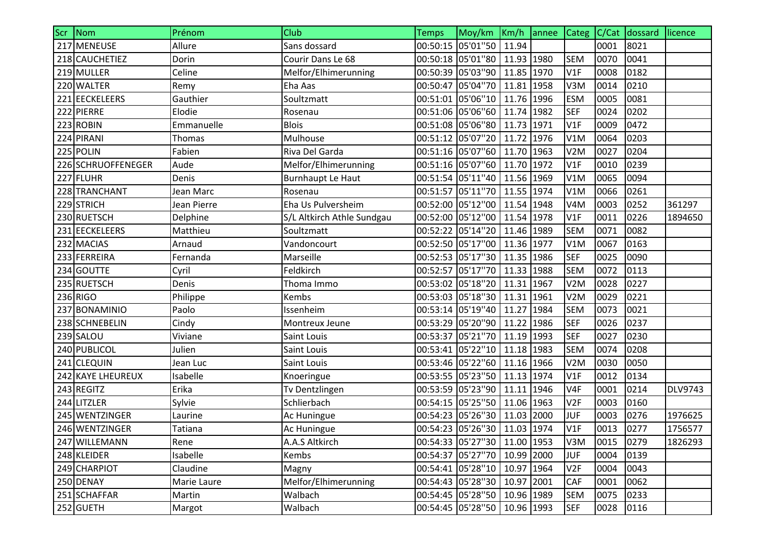| Scr Nom            | Prénom      | Club                       | <b>Temps</b> | Moy/km Km/h annee              |            | $\big $ Categ $\big $ C/Cat |      | dossard licence |                |
|--------------------|-------------|----------------------------|--------------|--------------------------------|------------|-----------------------------|------|-----------------|----------------|
| 217 MENEUSE        | Allure      | Sans dossard               |              | 00:50:15 05'01"50              | 11.94      |                             | 0001 | 8021            |                |
| 218 CAUCHETIEZ     | Dorin       | Courir Dans Le 68          |              | 00:50:18 05'01"80              | 11.93 1980 | <b>SEM</b>                  | 0070 | 0041            |                |
| 219 MULLER         | Celine      | Melfor/Elhimerunning       |              | 00:50:39 05'03"90              | 11.85 1970 | V1F                         | 0008 | 0182            |                |
| 220 WALTER         | Remy        | Eha Aas                    |              | 00:50:47 05'04"70              | 11.81 1958 | V3M                         | 0014 | 0210            |                |
| 221 EECKELEERS     | Gauthier    | Soultzmatt                 |              | 00:51:01 05'06"10              | 11.76 1996 | <b>ESM</b>                  | 0005 | 0081            |                |
| 222 PIERRE         | Elodie      | Rosenau                    |              | 00:51:06 05'06"60              | 11.74 1982 | <b>SEF</b>                  | 0024 | 0202            |                |
| 223 ROBIN          | Emmanuelle  | <b>Blois</b>               |              | 00:51:08 05'06"80              | 11.73 1971 | V1F                         | 0009 | 0472            |                |
| 224 PIRANI         | Thomas      | Mulhouse                   |              | 00:51:12 05'07"20              | 11.72 1976 | V1M                         | 0064 | 0203            |                |
| 225 POLIN          | Fabien      | Riva Del Garda             |              | 00:51:16 05'07"60              | 11.70 1963 | V <sub>2</sub> M            | 0027 | 0204            |                |
| 226 SCHRUOFFENEGER | Aude        | Melfor/Elhimerunning       |              | 00:51:16 05'07"60              | 11.70 1972 | V1F                         | 0010 | 0239            |                |
| 227 FLUHR          | Denis       | Burnhaupt Le Haut          |              | 00:51:54 05'11"40              | 11.56 1969 | V1M                         | 0065 | 0094            |                |
| 228 TRANCHANT      | Jean Marc   | Rosenau                    |              | 00:51:57 05'11"70              | 11.55 1974 | V1M                         | 0066 | 0261            |                |
| 229 STRICH         | Jean Pierre | Eha Us Pulversheim         |              | 00:52:00 05'12"00              | 11.54 1948 | V <sub>4</sub> M            | 0003 | 0252            | 361297         |
| 230 RUETSCH        | Delphine    | S/L Altkirch Athle Sundgau |              | 00:52:00 05'12"00              | 11.54 1978 | V1F                         | 0011 | 0226            | 1894650        |
| 231 EECKELEERS     | Matthieu    | Soultzmatt                 |              | 00:52:22 05'14"20              | 11.46 1989 | <b>SEM</b>                  | 0071 | 0082            |                |
| 232 MACIAS         | Arnaud      | Vandoncourt                |              | 00:52:50 05'17"00 11.36 1977   |            | V1M                         | 0067 | 0163            |                |
| 233 FERREIRA       | Fernanda    | Marseille                  |              | 00:52:53 05'17"30              | 11.35 1986 | <b>SEF</b>                  | 0025 | 0090            |                |
| 234 GOUTTE         | Cyril       | Feldkirch                  |              | 00:52:57 05'17"70              | 11.33 1988 | <b>SEM</b>                  | 0072 | 0113            |                |
| 235 RUETSCH        | Denis       | Thoma Immo                 |              | 00:53:02 05'18"20              | 11.31 1967 | V <sub>2</sub> M            | 0028 | 0227            |                |
| 236 RIGO           | Philippe    | Kembs                      |              | 00:53:03 05'18"30              | 11.31 1961 | V2M                         | 0029 | 0221            |                |
| 237 BONAMINIO      | Paolo       | Issenheim                  |              | 00:53:14 05'19"40              | 11.27 1984 | <b>SEM</b>                  | 0073 | 0021            |                |
| 238 SCHNEBELIN     | Cindy       | Montreux Jeune             |              | 00:53:29 05'20"90 11.22 1986   |            | <b>SEF</b>                  | 0026 | 0237            |                |
| 239 SALOU          | Viviane     | Saint Louis                |              | 00:53:37 05'21"70              | 11.19 1993 | <b>SEF</b>                  | 0027 | 0230            |                |
| 240 PUBLICOL       | Julien      | Saint Louis                |              | 00:53:41 05'22"10              | 11.18 1983 | <b>SEM</b>                  | 0074 | 0208            |                |
| 241 CLEQUIN        | Jean Luc    | Saint Louis                |              | 00:53:46 05'22"60              | 11.16 1966 | V2M                         | 0030 | 0050            |                |
| 242 KAYE LHEUREUX  | Isabelle    | Knoeringue                 |              | 00:53:55 05'23"50              | 11.13 1974 | V1F                         | 0012 | 0134            |                |
| 243 REGITZ         | Erika       | Tv Dentzlingen             |              | 00:53:59 05'23"90              | 11.11 1946 | V <sub>4F</sub>             | 0001 | 0214            | <b>DLV9743</b> |
| 244 LITZLER        | Sylvie      | Schlierbach                |              | 00:54:15 05'25"50              | 11.06 1963 | V <sub>2F</sub>             | 0003 | 0160            |                |
| 245 WENTZINGER     | Laurine     | Ac Huningue                |              | 00:54:23 05'26"30              | 11.03 2000 | <b>JUF</b>                  | 0003 | 0276            | 1976625        |
| 246 WENTZINGER     | Tatiana     | Ac Huningue                |              | 00:54:23 05'26"30 11.03 1974   |            | V1F                         | 0013 | 0277            | 1756577        |
| 247 WILLEMANN      | Rene        | A.A.S Altkirch             |              | 00:54:33 05'27"30 11.00 1953   |            | V3M                         | 0015 | 0279            | 1826293        |
| 248 KLEIDER        | Isabelle    | Kembs                      |              | 00:54:37 05'27"70   10.99 2000 |            | <b>JUF</b>                  | 0004 | 0139            |                |
| 249 CHARPIOT       | Claudine    | Magny                      |              | 00:54:41 05'28"10 10.97 1964   |            | V <sub>2F</sub>             | 0004 | 0043            |                |
| 250 DENAY          | Marie Laure | Melfor/Elhimerunning       |              | 00:54:43 05'28"30              | 10.97 2001 | <b>CAF</b>                  | 0001 | 0062            |                |
| 251 SCHAFFAR       | Martin      | Walbach                    |              | 00:54:45 05'28"50              | 10.96 1989 | <b>SEM</b>                  | 0075 | 0233            |                |
| 252 GUETH          | Margot      | Walbach                    |              | 00:54:45 05'28"50              | 10.96 1993 | <b>SEF</b>                  | 0028 | 0116            |                |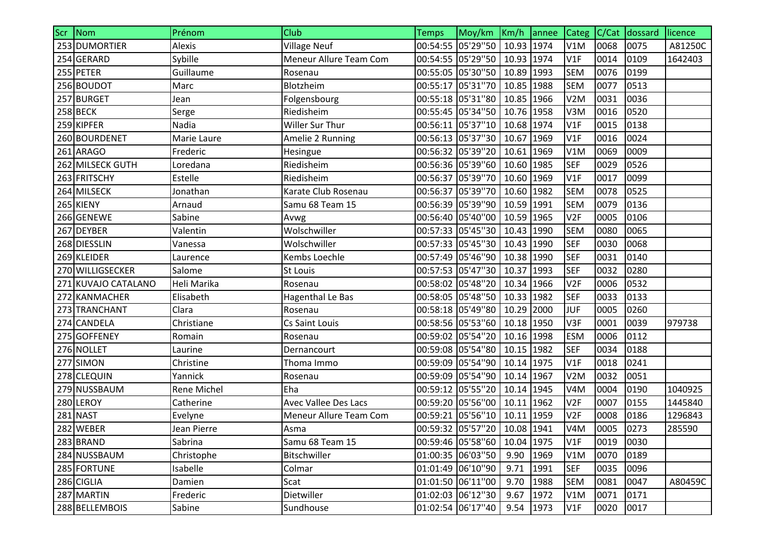| Scr Nom             | Prénom             | Club                          | <b>Temps</b>      | Moy/km Km/h annee                 |            |      | Categ C/Cat      |      | dossard | licence |
|---------------------|--------------------|-------------------------------|-------------------|-----------------------------------|------------|------|------------------|------|---------|---------|
| 253 DUMORTIER       | Alexis             | <b>Village Neuf</b>           |                   | 00:54:55 05'29"50 10.93 1974      |            |      | V1M              | 0068 | 0075    | A81250C |
| 254 GERARD          | Sybille            | <b>Meneur Allure Team Com</b> |                   | 00:54:55 05'29"50                 | 10.93 1974 |      | V1F              | 0014 | 0109    | 1642403 |
| 255 PETER           | Guillaume          | Rosenau                       |                   | 00:55:05 05'30"50                 | 10.89      | 1993 | <b>SEM</b>       | 0076 | 0199    |         |
| 256 BOUDOT          | Marc               | Blotzheim                     |                   | 00:55:17 05'31"70                 | 10.85 1988 |      | <b>SEM</b>       | 0077 | 0513    |         |
| 257 BURGET          | Jean               | Folgensbourg                  |                   | 00:55:18 05'31"80                 | 10.85 1966 |      | V <sub>2</sub> M | 0031 | 0036    |         |
| <b>258 BECK</b>     | Serge              | Riedisheim                    |                   | 00:55:45 05'34"50                 | 10.76 1958 |      | V3M              | 0016 | 0520    |         |
| 259 KIPFER          | Nadia              | Willer Sur Thur               |                   | 00:56:11 05'37"10                 | 10.68 1974 |      | V1F              | 0015 | 0138    |         |
| 260 BOURDENET       | Marie Laure        | Amelie 2 Running              |                   | 00:56:13 05'37"30                 | 10.67 1969 |      | V1F              | 0016 | 0024    |         |
| 261 ARAGO           | Frederic           | Hesingue                      |                   | 00:56:32 05'39"20                 | 10.61 1969 |      | V1M              | 0069 | 0009    |         |
| 262 MILSECK GUTH    | Loredana           | Riedisheim                    |                   | 00:56:36 05'39"60                 | 10.60 1985 |      | <b>SEF</b>       | 0029 | 0526    |         |
| 263 FRITSCHY        | Estelle            | Riedisheim                    |                   | 00:56:37 05'39"70                 | 10.60 1969 |      | V1F              | 0017 | 0099    |         |
| 264 MILSECK         | Jonathan           | Karate Club Rosenau           |                   | 00:56:37 05'39"70                 | 10.60      | 1982 | <b>SEM</b>       | 0078 | 0525    |         |
| 265 KIENY           | Arnaud             | Samu 68 Team 15               |                   | 00:56:39 05'39"90                 | 10.59 1991 |      | <b>SEM</b>       | 0079 | 0136    |         |
| 266 GENEWE          | Sabine             | Avwg                          |                   | 00:56:40 05'40"00                 | 10.59 1965 |      | V <sub>2F</sub>  | 0005 | 0106    |         |
| 267 DEYBER          | Valentin           | Wolschwiller                  |                   | 00:57:33 05'45"30                 | 10.43 1990 |      | <b>SEM</b>       | 0080 | 0065    |         |
| 268 DIESSLIN        | Vanessa            | Wolschwiller                  |                   | 00:57:33 05'45"30                 | 10.43 1990 |      | <b>SEF</b>       | 0030 | 0068    |         |
| 269 KLEIDER         | Laurence           | Kembs Loechle                 |                   | 00:57:49 05'46"90                 | 10.38 1990 |      | <b>SEF</b>       | 0031 | 0140    |         |
| 270 WILLIGSECKER    | Salome             | St Louis                      |                   | 00:57:53 05'47"30                 | 10.37 1993 |      | <b>SEF</b>       | 0032 | 0280    |         |
| 271 KUVAJO CATALANO | Heli Marika        | Rosenau                       |                   | 00:58:02 05'48"20                 | 10.34      | 1966 | V <sub>2F</sub>  | 0006 | 0532    |         |
| 272 KANMACHER       | Elisabeth          | <b>Hagenthal Le Bas</b>       |                   | 00:58:05 05'48"50                 | 10.33 1982 |      | SEF              | 0033 | 0133    |         |
| 273 TRANCHANT       | Clara              | Rosenau                       |                   | 00:58:18 05'49"80                 | 10.29 2000 |      | <b>JUF</b>       | 0005 | 0260    |         |
| 274 CANDELA         | Christiane         | <b>Cs Saint Louis</b>         |                   | 00:58:56 05'53"60                 | 10.18 1950 |      | V3F              | 0001 | 0039    | 979738  |
| 275 GOFFENEY        | Romain             | Rosenau                       |                   | 00:59:02 05'54"20                 | 10.16 1998 |      | <b>ESM</b>       | 0006 | 0112    |         |
| 276 NOLLET          | Laurine            | Dernancourt                   |                   | 00:59:08 05'54"80                 | 10.15      | 1982 | <b>SEF</b>       | 0034 | 0188    |         |
| 277 SIMON           | Christine          | Thoma Immo                    |                   | 00:59:09 05'54"90                 | 10.14 1975 |      | V1F              | 0018 | 0241    |         |
| 278 CLEQUIN         | Yannick            | Rosenau                       |                   | 00:59:09 05'54"90                 | 10.14 1967 |      | V2M              | 0032 | 0051    |         |
| 279 NUSSBAUM        | <b>Rene Michel</b> | Eha                           |                   | 00:59:12 05'55"20                 | 10.14 1945 |      | V <sub>4</sub> M | 0004 | 0190    | 1040925 |
| 280 LEROY           | Catherine          | <b>Avec Vallee Des Lacs</b>   |                   | 00:59:20 05'56"00                 | 10.11 1962 |      | V <sub>2F</sub>  | 0007 | 0155    | 1445840 |
| 281 NAST            | Evelyne            | <b>Meneur Allure Team Com</b> |                   | 00:59:21 05'56"10                 | 10.11 1959 |      | V <sub>2F</sub>  | 0008 | 0186    | 1296843 |
| 282 WEBER           | Jean Pierre        | Asma                          |                   | 00:59:32 05'57''20   10.08   1941 |            |      | V <sub>4</sub> M | 0005 | 0273    | 285590  |
| 283 BRAND           | Sabrina            | Samu 68 Team 15               |                   | 00:59:46 05'58"60                 | 10.04 1975 |      | V1F              | 0019 | 0030    |         |
| 284 NUSSBAUM        | Christophe         | Bitschwiller                  | 01:00:35 06'03"50 |                                   | 9.90       | 1969 | V1M              | 0070 | 0189    |         |
| 285 FORTUNE         | Isabelle           | Colmar                        | 01:01:49 06'10"90 |                                   | 9.71       | 1991 | <b>SEF</b>       | 0035 | 0096    |         |
| 286 CIGLIA          | Damien             | Scat                          | 01:01:50 06'11"00 |                                   | 9.70       | 1988 | <b>SEM</b>       | 0081 | 0047    | A80459C |
| 287 MARTIN          | Frederic           | Dietwiller                    | 01:02:03 06'12"30 |                                   | 9.67       | 1972 | V1M              | 0071 | 0171    |         |
| 288 BELLEMBOIS      | Sabine             | Sundhouse                     | 01:02:54 06'17"40 |                                   | 9.54 1973  |      | V1F              | 0020 | 0017    |         |